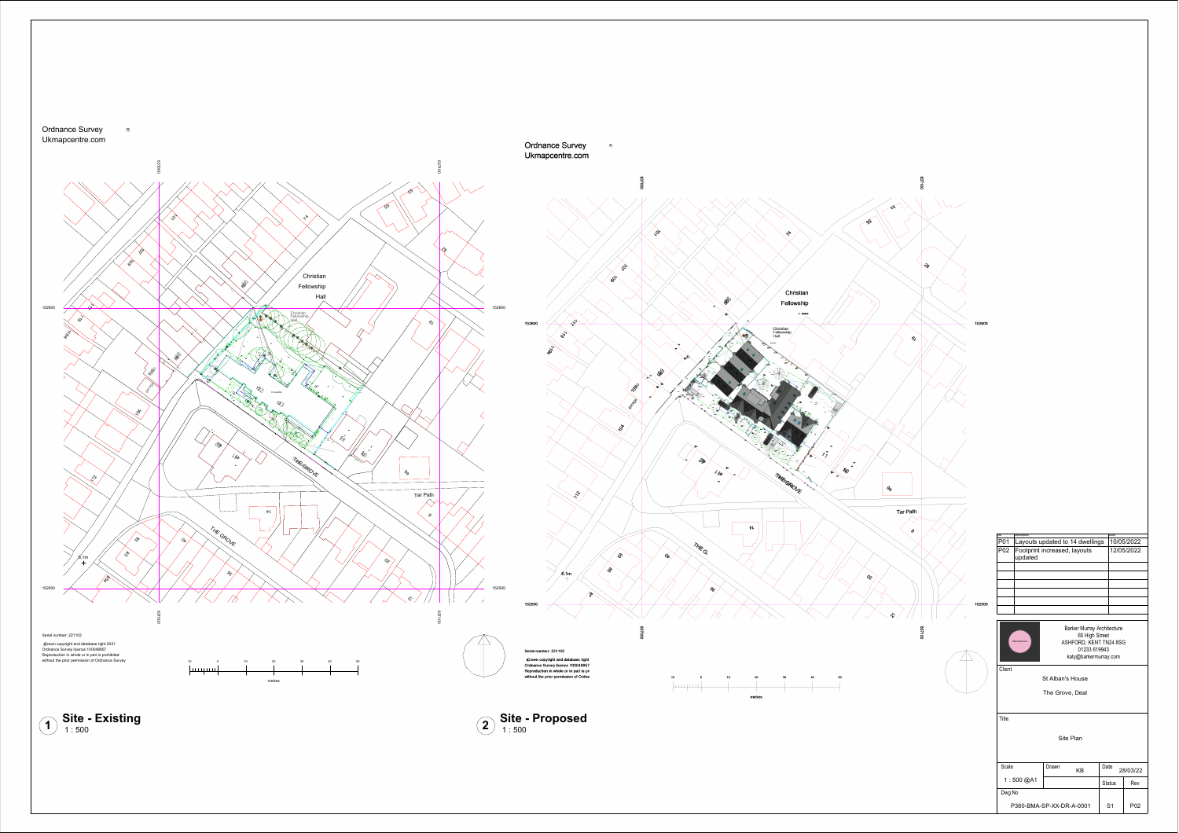





Title

| ⊥ue                      |       |                |                  |     |  |  |
|--------------------------|-------|----------------|------------------|-----|--|--|
| Site Plan                |       |                |                  |     |  |  |
| Scale                    | Drawn | KB             | Date<br>28/03/22 |     |  |  |
| 1:500@AA                 |       |                | <b>Status</b>    | Rev |  |  |
| Dwg No                   |       |                |                  |     |  |  |
| P360-BMA-SP-XX-DR-A-0001 |       | S <sub>1</sub> | P <sub>0</sub> 2 |     |  |  |

St Alban's House

The Grove, Deal





| No.             | Description                             | Date       |
|-----------------|-----------------------------------------|------------|
| P01             | Layouts updated to 14 dwellings         | 10/05/2022 |
| P <sub>02</sub> | Footprint increased, layouts<br>updated | 12/05/2022 |
|                 |                                         |            |
|                 |                                         |            |
|                 |                                         |            |
|                 |                                         |            |
|                 |                                         |            |
|                 |                                         |            |
|                 |                                         |            |